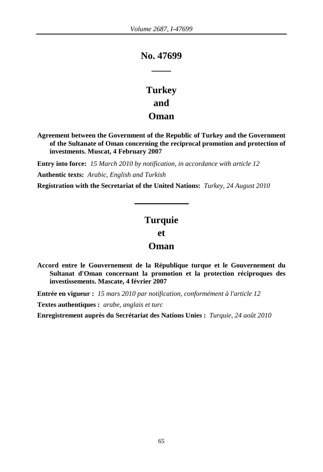# **No. 47699 \_\_\_\_**

# **Turkey and Oman**

**Agreement between the Government of the Republic of Turkey and the Government of the Sultanate of Oman concerning the reciprocal promotion and protection of investments. Muscat, 4 February 2007**

**Entry into force:** *15 March 2010 by notification, in accordance with article 12*  **Authentic texts:** *Arabic, English and Turkish*

**Registration with the Secretariat of the United Nations:** *Turkey, 24 August 2010*

# **Turquie**

**et**

# **Oman**

**Accord entre le Gouvernement de la République turque et le Gouvernement du Sultanat d'Oman concernant la promotion et la protection réciproques des investissements. Mascate, 4 février 2007**

**Entrée en vigueur :** *15 mars 2010 par notification, conformément à l'article 12* 

**Textes authentiques :** *arabe, anglais et turc*

**Enregistrement auprès du Secrétariat des Nations Unies :** *Turquie, 24 août 2010*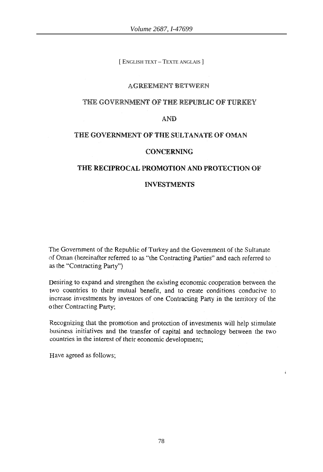[ ENGLISH TEXT – TEXTE ANGLAIS ]

### AGREEMENT BETWEEN

### THE GOVERNMENT OF THE REPUBLIC OF TURKEY

### AND

### THE GOVERNMENT OF THE SULTANATE OF OMAN

#### CONCERNING

### THE RECIPROCAL PROMOTION AND PROTECTION OF

### INVESTMENTS

The Government of the Republic of Turkey and the Government of the Sultanate. of Oman (hereinafter referred to as "the Contracting Parties" and each referred to as the "Contracting Party")

Desiring to expand and strengthen the existing economic cooperation between the two countries to their mutual benefit, and to create conditions conducive to increase investments by investors of one Contracting Party in the tenitory of the other Contracting Party;

Recognizing that the promotion and protection of investments will help stimulate business initiatives and the transfer of capital and technology between the two countries in the interest of their economic development;

Have agreed as follows;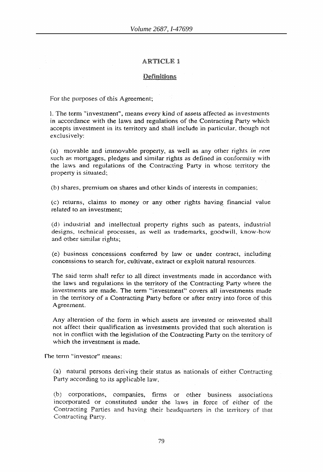#### Definitions

For the purposes of this Agreement;

1. The term "investment", means every kind of assets affected as investments in accordance with the laws and regulations of the Contracting Party which accepts investment in its territory and shaH include in particular, though not exclusively:

(a) movable and immovable property, as well as any other rights *in rem* such as mortgages, pledges and similar rights as defined in conformity with the laws and regulations of the Contracting Party in whose territory the property is situated:

(b) shares, premium on shares and other kinds of interests in companies;

(c) returns, claims to money or any other rights having financial value related to an investment:

(d) industrial and intellectual property rights such as patents, industrial designs, technical processes, as well as trademarks, goodwill, know-how and other similar rights;

Ce) business concessions conferred by law or under contract, including concessions to search for, cultivate, extract or exploit natural resources.

The said term shaH refer to all direct investments made in accordance with the laws and regulations in the territory of the Contracting Party where the investments are made. The term "investment" covers all investments made in the territory of a Contracting Party before or after entry into force of this. Agreement.

Any alteration of the form in which assets are invested or reinvested shall not affect their qualification as investments provided that such alteration is not in conflict with the legislation of the Contracting Party on the territory of which the investment is made.

The term "investor" means:

(a) natural persons deriving their status as nationals of either Contracting Party according to its applicable law,

(b) corporations, companies, firms or other business associations incorporated or constituted under the laws in force of either of the Contracting Parties and having their headquarters in the territory of that Contracting Party.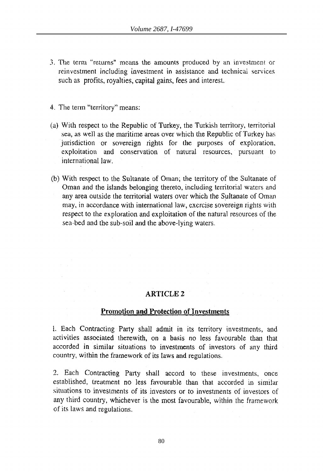- 3. The term "returns" means the amounts produced by an investment or reinvestment including investment in assistance and technical services such as profits, royalties, capital gains, fees and interest.
- 4. The term "territory" means:
- (a) With respect to the. Republic of Turkey, the Turkish territory, territorial sea, as well as the maritime areas over which the Republic of Turkey has jurisdiction or sovereign rights for the purposes of exploration, exploitation and conservation of natural resources, pursuant to international law.
- (b) With respect to the Sultanate of Oman; the territory of the Sultanate of Oman and the islands belonging thereto, including territorial waters and any area outside the territorial waters over which the Sultanate of Oman may, in accordance with international law, exercise sovereign rights with respect to the exploration and exploitation of the natural resources of the sea-bed and the sub-soil and the above~lying waters.

### **Promotion and Protection of Investments**

1. Each Contracting Party shall admit in its territory investments, and activities associated therewith, on a basis no less favourable than that accorded in similar situations to investments of investors of any third country, within the framework of its laws and regulations.

2. Each Contracting Party shall accord to these investments, once established, treatment no less favourable than that accorded in similar situations to investments of its investors or to investments of investors of any third country, whichever is the most favourable, \vithin the framework of its laws and regulations.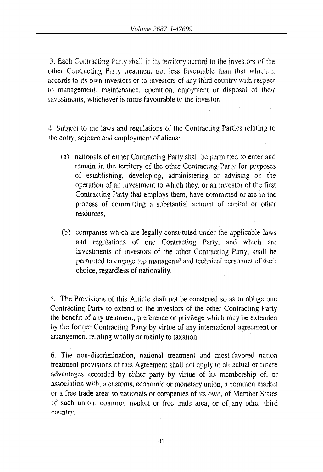3. Each Contracting Party shall in its territory accord to the investors of the other Contracting Party treatment not less favourable than that \vhicb it accords to its own investors or to investors of any third country with respect to management, maintenance, operation, enjoyment or disposal of their investments, whichever is more favourable to the investor.

4. Subject to the laws and regulations of the Contracting Parties relating to the entry, sojourn and employment of aliens:

- (a) nationals of either Contracting Party shall be permitted to enter and remain in the territory of the other Contracting Party for purposes of establishing, developing, administering or advising on the operation of an investment to which (hey, or an investor of the first Contracting Party that employs them, have committed or are in the process of committing a substantial amount of capital or other resources,
- (b) companies which are legally constituted under the applicable laws and regulations of one Contracting Party, and which are investments of investors of the other Contracting 'Party, shall be permitted to engage top managerial and technical personnel of their choice, regardless of nationality.

5. The Provisions of this Article shall not be construed so as to oblige one Contracting Party to extend to the investors of the other Contracting Party the benefit of any treatment, preference or privilege which may be extended by the former Contracting Party by virtue of any intemational agreement or arrangement relating wholly or mainly to taxation.

6. The non-discrimination, national treatment and most-favored nation treatment provisions of this Agreement shall not apply to all actual or future advantages accorded by either party by virtue of its membership of. or *association* with, a customs, economic or monetary union, a common market or a free trade area; to nationals or companies of its own, of Member States of such union, common market or free trade area, or of any other third country.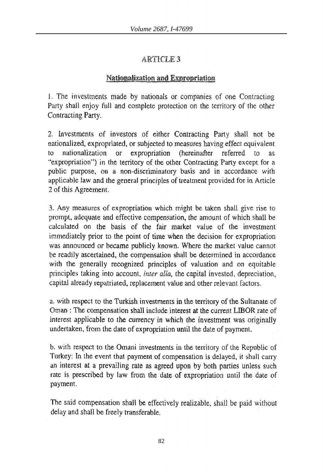# Nationalization and Expropriation

1. The investments made by nationals or companies of one Contracting Party shall enjoy full and complete protection on the territory of the other Contracting Party,

2. Investments of investors of either Contracting Party shall not be nationalized, expropriated. or subjected to measures having effect equivalent to nationalization or expropriation (hereinafter referred to as "expropriation") in the territory of the other Contracting Party except for a public purpose, on a non~discriminatory basis and in accordance with applicable law and the general principles of treatment provided for in Article 2 of this Agreement.

3. Any measures of expropriation which might be taken shall give rise to prompt, adequate and effective compensation, the amount of which shall be calculated on the basis of the fair market value of the investment immediately prior to the point of time when the decision for expropriation was announced or became publicly known. Where the market value cannot be readily ascertained, the compensation shall be determined in accordance with the generally recognized principles of valuation and on equitable principles taking into account, *inter alia*, the capital invested, depreciation, capital already repatriated, replacement value and other relevant factors.

a. with respect to the Turkish investments in the territory of the Sultanate of Oman: The compensation shall include interest at the current LIBOR rate of interest applicable to the currency in which the investment was originally undertaken, from the date of expropriation until the date of payment.

b. with respect to the Omani investments in the territory of the Republic of Turkey: In the event that payment of compensation is delayed, it shall carry an interest at a prevailing rate as agreed upon by both parties unless such rate is prescribed by law from the date of expropriation until the date of payment.

The said compensation shall be effectively realizable, shall be paid without delay and shall be freely transferable.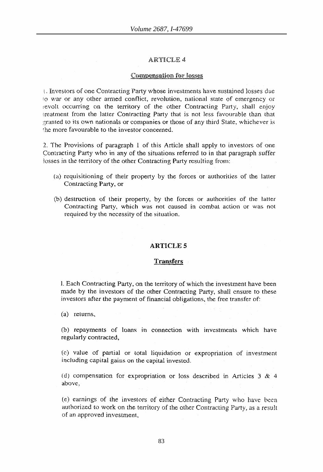#### **Compensation for losses**

 $\iota$ . Investors of one Contracting Party whose investments have sustained losses due ;0 "var or any other armed conflict, revolution, national state of emergency or revolt occurring on the territory of the other Contracting Party, shall enjoy treatment from the latter Contracting Party that is not less favourable than that granted to its own nationals or companies or those of any third State, whichever is the more favourable to the investor concerned.

2. The Provisions of paragraph 1 of this Article shall apply to investors of one Contracting Party who in any of the situations referred to in that paragraph suffer losses in the territory of the other Contracting Party resulting from:

- (a) requisitioning of their property by the forces or authorities of the latter Conlracting Party. or
- Cb) destruction of their property, by the forces or authorities of the latter Contracting Party, which was not caused in combat action or was not required by the necessity of the situation.

### ARTICLES

#### **Transfers**

L Each Contracting Party, on the territory of which the investment have been made by the investors of the other Contracting Party, shall ensure to these investors after the payment of financial obligations. the free transfer of:

(a) returns,

(b) repayments of loans in connection with investments which have regularly contracted,

(c) value of partial or total liquidation or expropriation of investment including capital gains on the capital invested.

(d) compensation for expropriation or loss described in Articles  $3 \& 4$ above,

(e) earnings of the investors of either Contracting Party who have been authorized to work on the territory of the other Contracting Party, as a result of an approved investment,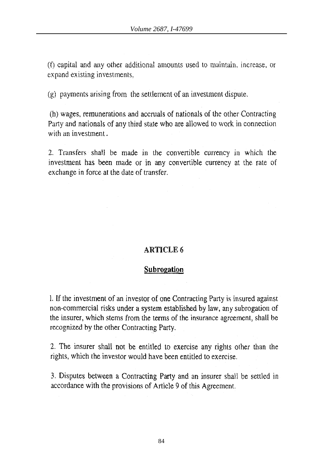$(6)$  capital and any other additional amounts used to maintain, increase, or expand existing investments,

(g) payments arising from the settlement of an investment dispute.

(h) wages, remunerations and accruals of nationals of the other Contracting Party and nationals of any third state who are allowed to work in connection with an investment.

2. Transfers shall be made in the convertible currency in which the investment has been made or in any convertible currency at the rate of exchange in force at the date of transfer.

# ARTICLE 6

### **Subrogation**

I. **If** the investment of an investor of one Contracting Party is insured against non-commercial risks under a system established by law, any subrogation of the insurer, which stems from the terms of the insurance agreement, shall be recognized by the other Contracting Party.

2. The insurer shall not be entitled to exercise any rights other than the rights. which the investor would have been entitled to exercise.

3. Disputes between a Contracting Party and an insurer shall be settled in accordance with the provisions of Article 9 of this Agreement.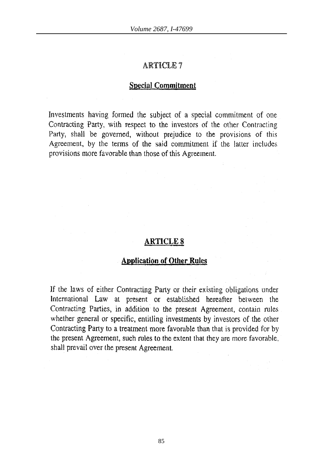### Special Commitment

Investments having formed the subject of a special commitment of one Contracting Party, with respect to the investors of the other Contracting Party, shall be governed, without prejudice to the provisions of this Agreement, by the terms of the said commitment if the latter includes provisions more favorable than those of this Agreement.

# **ARTICLES**

## **Application of Other Rules**

If the laws of either Contracting Party or their existing obligations under International Law at present or established hereafter between the Contracting Parties, in addition to the present Agreement, contain rules whether general or specific, entitling investments by investors of the other Contracting Party to a treatment more favorable than that is provided for by the present Agreement, such rules to the extent that they are more favorable, shall prevail over the present Agreement.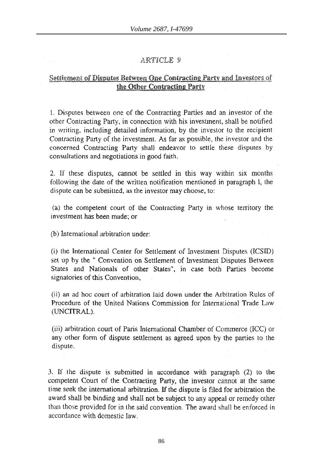### Settlement of Disputes Between One Contracting Party and Investors of the Other Contracting Party

1. Disputes betvveen one of the Contracting Parties and an investor of the other Contracting Party, in connection with his investment, shall be notified in writing, induding detailed information, by the investor to the recipient Contracting Party of the investment. As far as possible, the investor and the concerned Contracting Party shall endeavor to settle these disputes by consultations and negotiations in good faith.

2. If these disputes, cannot be settled in this way within six months following the date of the written notification mentioned in paragraph 1, the dispute can be submitted, as the investor may choose, to:

(a) the competent court of the Contracting Party in whose territory the investment has been made; or

(b) International arbitration under:

(i) the lnternational Center for Settlement of Investment Disputes (ICSID) set up by the " Convention on Settlement of Investment Disputes Between States and Nationals of other Stales", in case both Parties become signatories of this Convention,

(ii) an ad hoc court of arbitration Jaid down under the Arbitration Rules of Procedure of the United Nations Commission for International Trade Law (UNCITRAL).

(iii) arbitration court of Paris International Chamber of Commerce (ICC) or any other form of dispute settlement as agreed upon by the parties to the dispute.

3. If the dispute is submitted in accordance with paragraph (2) to the competent Court of the Contracting Party, the investor cannot at the same time seek the intemational arbitration. **If** the dispute is filed for arbitration the award shall be binding and shall not be subject to any appeal or remedy other than those provided for in the said convention. The award shall be enforced in accordance with domestic law.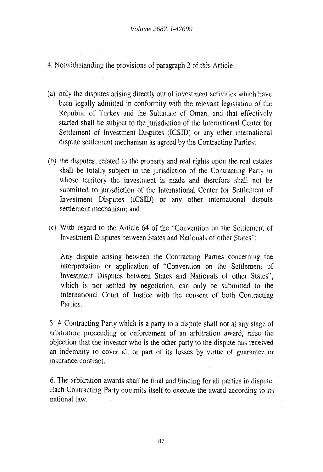4. Notwithstanding the provisions of paragraph 2 of this Article;

- (a) only the disputes arising directly out of investment activities \vhieh have been legally admitted in conformity with the relevant legislation of the Republic of Turkey and the Sultanate of Oman, and that effectively started shall be subject to the jurisdiction of the International Center for Settlement of Investment Disputes (ICSID) or any other international dispute settlement mechanism as agreed by the Contracting Parties;
- (b) the disputes, related to the property and real rights upon the real estates shall be totally subject to the jurisdiction of the Contracting Party in whose territory the investment is made and therefore shall not be submitted to jurisdiction of the International Center for Settlement of Investment Disputes (ICSID) or any other international dispute settlement mechanism; and
- (c) With regard to (he. Article 64 of the "Convention on the Settlement of Investment Disputes between States and Nationals of other States":

Any dispute arising between the Contracting Parties concerning the interpretation or application of "Convention on the Settlement of Investment Disputes between States and Nationals of other States", which is not settled by negotiation, can only be submitted to the Internationai Court of Justice with the consent of both Contracting Parties.

5. A Contracting Party which is a party to a dispute shall not at any stage of arbitration proceeding or enforcement of an arbitration award. raise the objection that the investor who is the other party to the dispute has received an indemnity to cover all or part of its losses by virtue of guarantee or insurance contract.

6. The arbitration awards shall be final and binding for all parties in dispute. Each Contracting Party commits itself to execute the award according to its national law.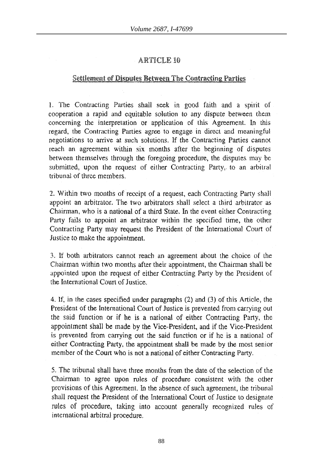## Settlement of Disputes Between The Contracting Parties

1. The Contracting Parties shall seek in good faith and a spirit of cooperation a rapid and equitable. solution to any dispute between them concerning the interpretation or application of this Agreement. In this regard, the Contracting Parties agree to engage in direct and meaningful negotiations to arrive at such solutions. If the Contracting Parties cannot reach an agreement within six months after the beginning of disputes between themselves through the foregoing procedure, the disputes may be submitted, upon the request of either Contracting Party, to an arbitral tribunal of three members,

2. Within two months of receipt of a request, each Contracting Party shall appoint an arbitrator. The two arbitrators shall select a third arbitrator as Chairman, who is a national of a third State. In the event either Contracting Party fails to appoint an arbitrator within the specified time, the other Contracting Party may request the President of the International Court of Justice to make the appointment.

3. If both arbitrators cannot reach an agreement. about the choice of the Chairman within two months after their appointment, the Chairman shall be appointed upon the request of either Contracting Party by the President of the International Court of Justice..

4. If, in the cases specified under paragraphs (2) and (3) of this Article, the President of the International Court of Justice is prevented from carrying out the said function or if he is a national of either Contracting Party, the appointment shall be made by the Vice-President, and if the Vice-President is prevented from carrying out the said function or if he is a national of either Contracting Party, the appointment shall be made by the most senior member of the Court who is not a national of either Contracting Patty.

5. The tribunal shall have three months from the date of the selection of the Chairman to agree upon rules of procedure consistent with the other provisions of this Agreement. In the absence of such agreement, the tribunal shall request the President of the International Court of Justice to designate rules of procedure, taking into account generally recognized rules of international arbitral procedure.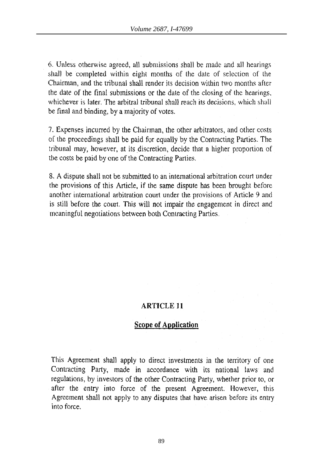6. Unless otherwise agreed, all submlssions shall be made and all hearings sha1l be completed within eight months of the date of selection of the Chairman, and the tribunal shall render its decision within two months after the date of the final submissions or the date of the closing of the hearings. whichever is later. The arbitral tribunal shall reach its decisions, which shall be final and binding, by a majority of votes.

7. Expenses incurred by the Chairman, the other arbitrators, and other costs of the proceedings shaH be paid for equally by the Contracting Parties. The tribunal may, however, at its discretion, decide that a higher proportion of the costs be paid by one of the Contracting Parties.

8. A dispute shall not be submitted to an international arbitration court under the provisions of this Article, if the same dispute has been brought before another international arbitration court under the provisions of Article 9 and is still before the court. This will not impair the engagement in direct and meaningful negotiations between both Contracting Parties.

# **ARTICLE 11**

# **Scope of Application**

This Agreement shall apply to direct investments in the territory of one Contracting Party, made in accordance with its national laws and regulations, by investors of the other Contracting Party, whether prior to, or after the entry into force of the present Agreement. However, this Agreement shall not apply to any disputes that have arisen before its entry into force.